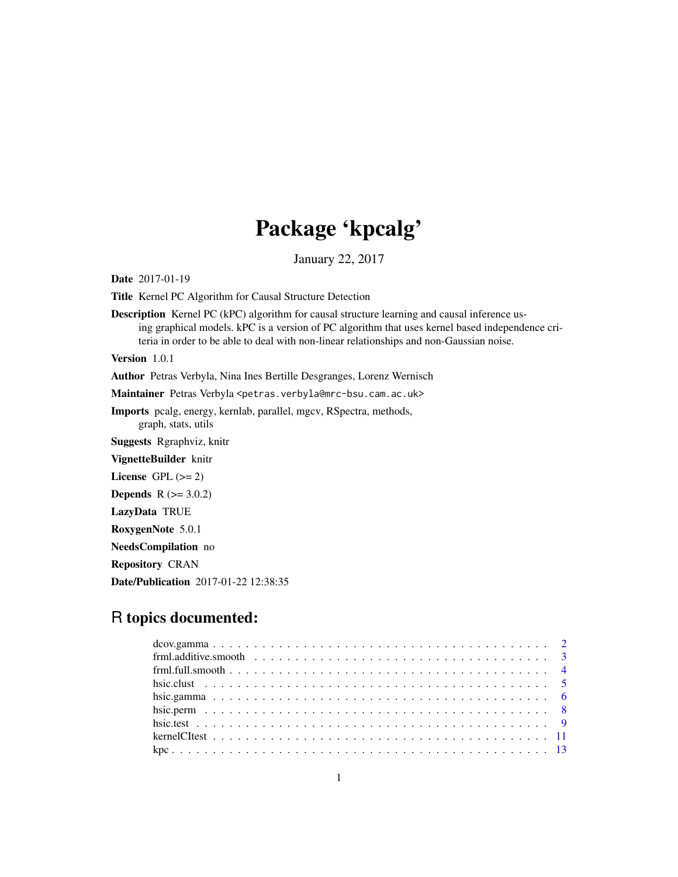# Package 'kpcalg'

January 22, 2017

<span id="page-0-0"></span>Date 2017-01-19

Title Kernel PC Algorithm for Causal Structure Detection

Description Kernel PC (kPC) algorithm for causal structure learning and causal inference using graphical models. kPC is a version of PC algorithm that uses kernel based independence criteria in order to be able to deal with non-linear relationships and non-Gaussian noise.

Version 1.0.1

Author Petras Verbyla, Nina Ines Bertille Desgranges, Lorenz Wernisch

Maintainer Petras Verbyla <petras.verbyla@mrc-bsu.cam.ac.uk>

Imports pcalg, energy, kernlab, parallel, mgcv, RSpectra, methods, graph, stats, utils

Suggests Rgraphviz, knitr

VignetteBuilder knitr

License GPL  $(>= 2)$ 

**Depends** R  $(>= 3.0.2)$ 

LazyData TRUE

RoxygenNote 5.0.1

NeedsCompilation no

Repository CRAN

Date/Publication 2017-01-22 12:38:35

# R topics documented: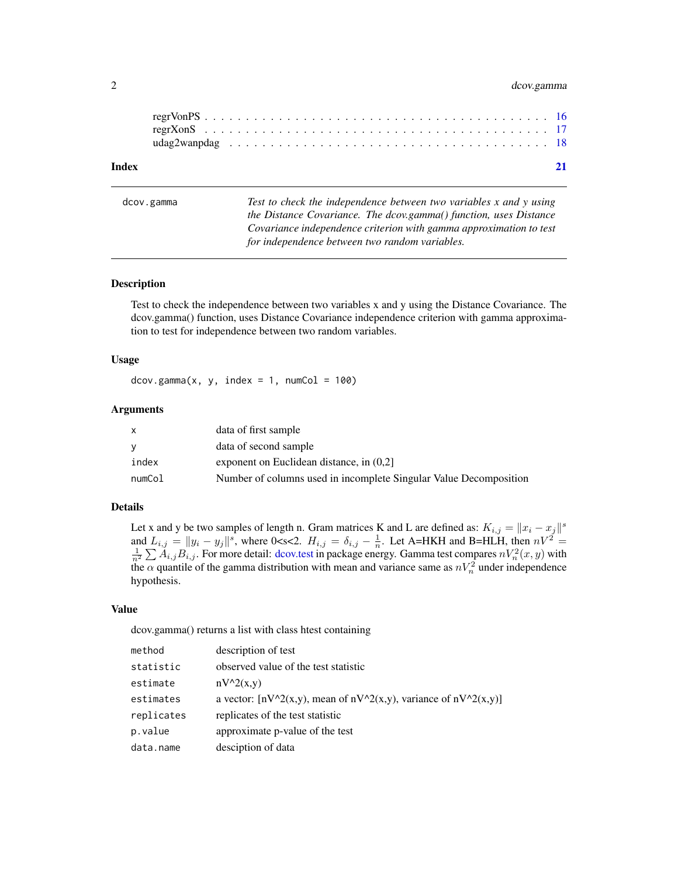# <span id="page-1-0"></span>2 dcov.gamma

<span id="page-1-1"></span>dcov.gamma *Test to check the independence between two variables x and y using the Distance Covariance. The dcov.gamma() function, uses Distance Covariance independence criterion with gamma approximation to test for independence between two random variables.*

#### Description

Test to check the independence between two variables x and y using the Distance Covariance. The dcov.gamma() function, uses Distance Covariance independence criterion with gamma approximation to test for independence between two random variables.

# Usage

 $dcov.gamma(x, y, index = 1, numCol = 100)$ 

#### Arguments

| X        | data of first sample                                              |
|----------|-------------------------------------------------------------------|
| <b>V</b> | data of second sample                                             |
| index    | exponent on Euclidean distance, in $(0,2)$                        |
| numCol   | Number of columns used in incomplete Singular Value Decomposition |

# Details

Let x and y be two samples of length n. Gram matrices K and L are defined as:  $K_{i,j} = ||x_i - x_j||^s$ and  $L_{i,j} = ||y_i - y_j||^s$ , where 0<s<2.  $H_{i,j} = \delta_{i,j} - \frac{1}{n}$ . Let A=HKH and B=HLH, then  $nV^2 = \frac{1}{n^2} \sum A_{i,j} B_{i,j}$ . For more detail: [dcov.test](#page-0-0) in package energy. Gamma test compares  $nV_n^2(x, y)$  with the  $\alpha$  quantile of the gamma distribution with mean and variance same as  $nV_n^2$  under independence hypothesis.

# Value

dcov.gamma() returns a list with class htest containing

| method     | description of test                                                     |
|------------|-------------------------------------------------------------------------|
| statistic  | observed value of the test statistic                                    |
| estimate   | $nV^2(x,y)$                                                             |
| estimates  | a vector: $[nV^2(x,y)]$ , mean of $nV^2(x,y)$ , variance of $nV^2(x,y)$ |
| replicates | replicates of the test statistic                                        |
| p.value    | approximate p-value of the test                                         |
| data.name  | desciption of data                                                      |
|            |                                                                         |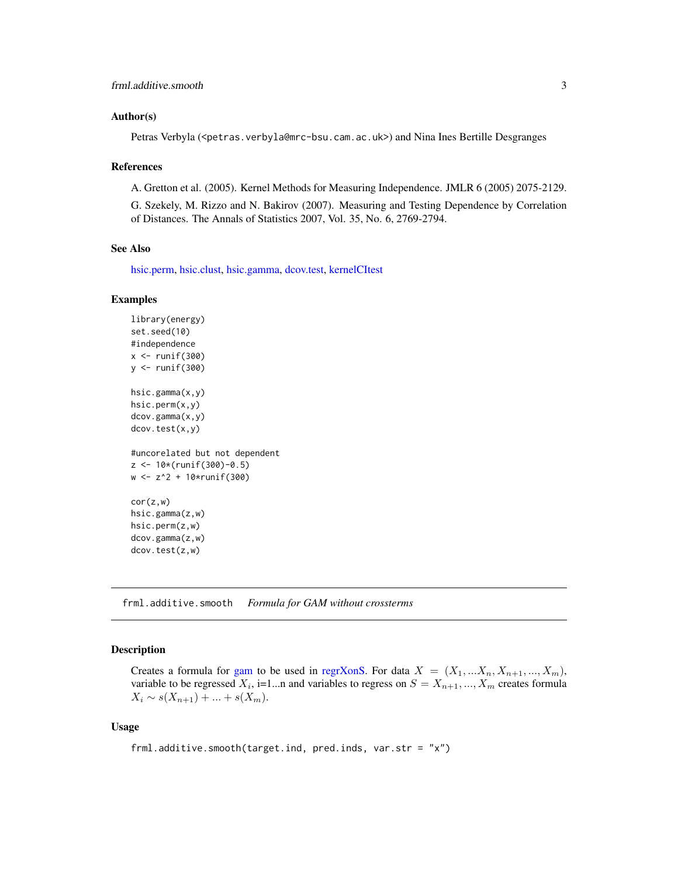#### <span id="page-2-0"></span>Author(s)

Petras Verbyla (<petras.verbyla@mrc-bsu.cam.ac.uk>) and Nina Ines Bertille Desgranges

#### References

A. Gretton et al. (2005). Kernel Methods for Measuring Independence. JMLR 6 (2005) 2075-2129.

G. Szekely, M. Rizzo and N. Bakirov (2007). Measuring and Testing Dependence by Correlation of Distances. The Annals of Statistics 2007, Vol. 35, No. 6, 2769-2794.

# See Also

[hsic.perm,](#page-7-1) [hsic.clust,](#page-4-1) [hsic.gamma,](#page-5-1) [dcov.test,](#page-0-0) [kernelCItest](#page-10-1)

#### Examples

```
library(energy)
set.seed(10)
#independence
x \leftarrow runif(300)y \leftarrow runif(300)hsic.gamma(x,y)
hsic.perm(x,y)
dcov.gamma(x,y)
dcov.test(x,y)
#uncorelated but not dependent
z <- 10*(runif(300)-0.5)
w <- z^2 + 10*runif(300)
cor(z,w)
hsic.gamma(z,w)
hsic.perm(z,w)
dcov.gamma(z,w)
dcov.test(z,w)
```
<span id="page-2-1"></span>frml.additive.smooth *Formula for GAM without crossterms*

#### Description

Creates a formula for [gam](#page-0-0) to be used in [regrXonS.](#page-16-1) For data  $X = (X_1, \ldots, X_n, X_{n+1}, \ldots, X_m)$ , variable to be regressed  $X_i$ , i=1...n and variables to regress on  $S = X_{n+1},...,X_m$  creates formula  $X_i \sim s(X_{n+1}) + ... + s(X_m).$ 

#### Usage

frml.additive.smooth(target.ind, pred.inds, var.str = "x")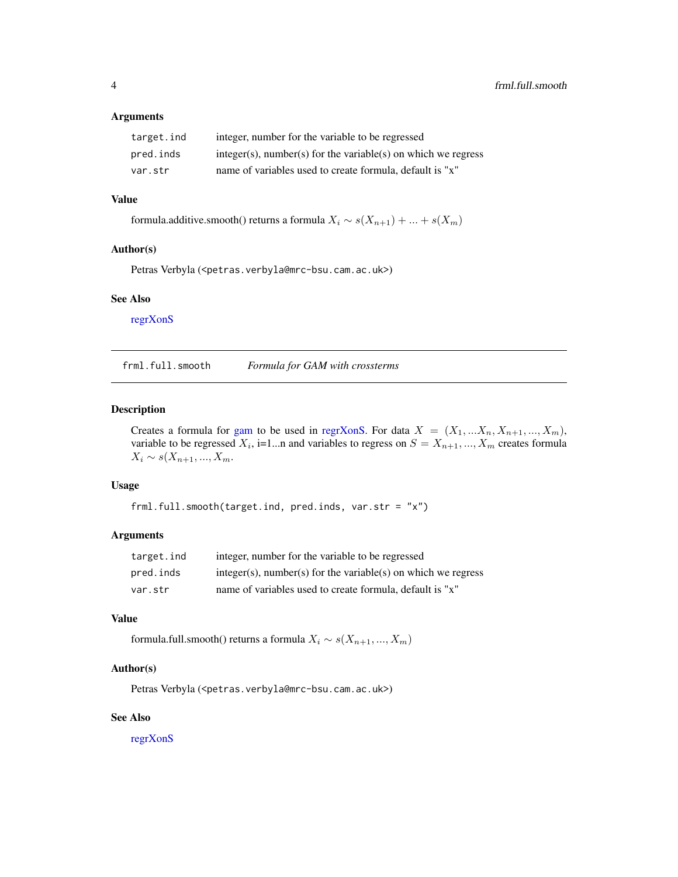#### <span id="page-3-0"></span>Arguments

| target.ind | integer, number for the variable to be regressed                 |
|------------|------------------------------------------------------------------|
| pred.inds  | $integer(s)$ , number(s) for the variable(s) on which we regress |
| var.str    | name of variables used to create formula, default is "x"         |

# Value

formula.additive.smooth() returns a formula  $X_i \sim s(X_{n+1}) + ... + s(X_m)$ 

# Author(s)

Petras Verbyla (<petras.verbyla@mrc-bsu.cam.ac.uk>)

# See Also

[regrXonS](#page-16-1)

<span id="page-3-1"></span>frml.full.smooth *Formula for GAM with crossterms*

# Description

Creates a formula for [gam](#page-0-0) to be used in [regrXonS.](#page-16-1) For data  $X = (X_1, \ldots, X_n, X_{n+1}, \ldots, X_m)$ , variable to be regressed  $X_i$ , i=1...n and variables to regress on  $S = X_{n+1},...,X_m$  creates formula  $X_i \sim s(X_{n+1}, ..., X_m)$ .

#### Usage

frml.full.smooth(target.ind, pred.inds, var.str = "x")

# Arguments

| target.ind | integer, number for the variable to be regressed                 |
|------------|------------------------------------------------------------------|
| pred.inds  | $integer(s)$ , number(s) for the variable(s) on which we regress |
| var.str    | name of variables used to create formula, default is "x"         |

# Value

formula.full.smooth() returns a formula $X_i\sim s(X_{n+1},...,X_m)$ 

#### Author(s)

Petras Verbyla (<petras.verbyla@mrc-bsu.cam.ac.uk>)

#### See Also

[regrXonS](#page-16-1)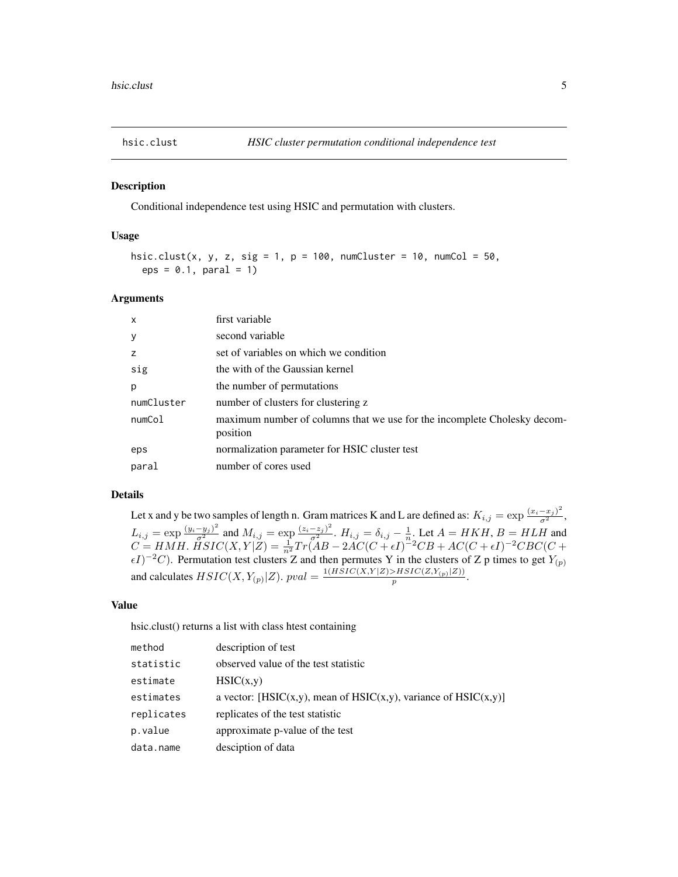<span id="page-4-1"></span><span id="page-4-0"></span>

#### Description

Conditional independence test using HSIC and permutation with clusters.

#### Usage

```
hsic.clust(x, y, z, sig = 1, p = 100, numCluster = 10, numCol = 50,
 eps = 0.1, paral = 1)
```
# Arguments

| $\mathsf{x}$ | first variable                                                                       |
|--------------|--------------------------------------------------------------------------------------|
| y            | second variable                                                                      |
| z            | set of variables on which we condition                                               |
| sig          | the with of the Gaussian kernel                                                      |
| p            | the number of permutations                                                           |
| numCluster   | number of clusters for clustering z                                                  |
| numCol       | maximum number of columns that we use for the incomplete Cholesky decom-<br>position |
| eps          | normalization parameter for HSIC cluster test                                        |
| paral        | number of cores used                                                                 |

# Details

Let x and y be two samples of length n. Gram matrices K and L are defined as:  $K_{i,j} = \exp\frac{(x_i - x_j)^2}{\sigma^2}$ ,  $L_{i,j} = \exp\frac{(y_i - y_j)^2}{\sigma^2}$  and  $M_{i,j} = \exp\frac{(z_i - z_j)^2}{\sigma^2}$ .  $H_{i,j} = \delta_{i,j} - \frac{1}{n}$ . Let  $A = HKH$ ,  $B = HLH$  and  $C = HMH.$   $\widetilde{HSIC}(X, Y|Z) = \frac{1}{n^2}Tr(AB - 2AC(C + \epsilon I)^{-2}CB + AC(C + \epsilon I)^{-2}CBC(C +$  $\epsilon I$ )<sup>-2</sup>C). Permutation test clusters Z and then permutes Y in the clusters of Z p times to get  $Y_{(p)}$ and calculates  $HSIC(X, Y_{(p)} | Z)$ .  $pval = \frac{1(HSIC(X, Y | Z) > HSIC(Z, Y_{(p)} | Z))}{p}$  $\frac{\sum_{i=1}^{n} \sum_{i=1}^{n} (n_i - n)}{p}$ .

#### Value

hsic.clust() returns a list with class htest containing

| method     | description of test                                             |
|------------|-----------------------------------------------------------------|
| statistic  | observed value of the test statistic                            |
| estimate   | HSIC(x,y)                                                       |
| estimates  | a vector: [HSIC(x,y), mean of HSIC(x,y), variance of HSIC(x,y)] |
| replicates | replicates of the test statistic                                |
| p.value    | approximate p-value of the test                                 |
| data.name  | desciption of data                                              |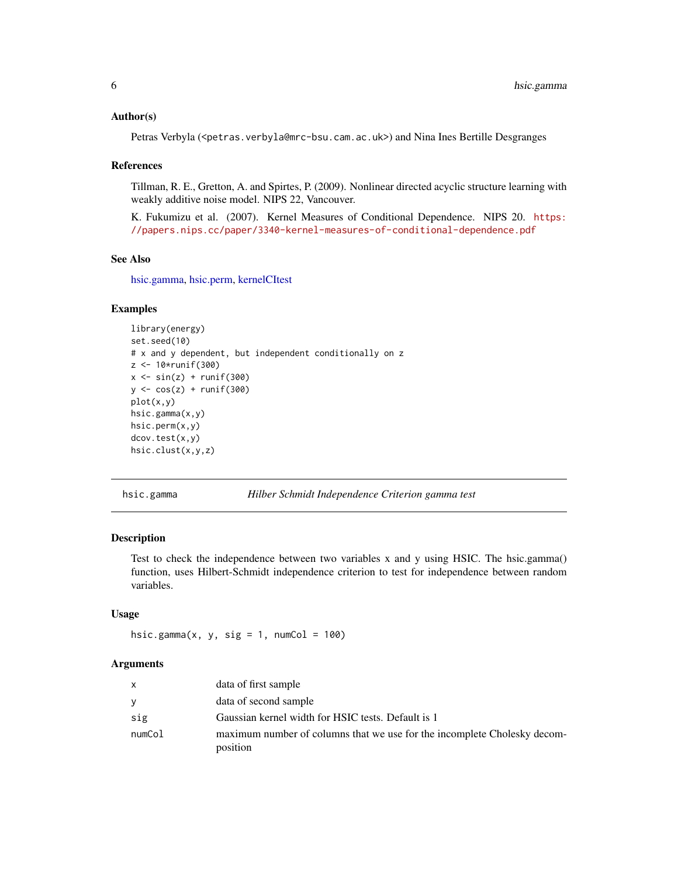#### <span id="page-5-0"></span>Author(s)

Petras Verbyla (<petras.verbyla@mrc-bsu.cam.ac.uk>) and Nina Ines Bertille Desgranges

#### References

Tillman, R. E., Gretton, A. and Spirtes, P. (2009). Nonlinear directed acyclic structure learning with weakly additive noise model. NIPS 22, Vancouver.

K. Fukumizu et al. (2007). Kernel Measures of Conditional Dependence. NIPS 20. [https:](https://papers.nips.cc/paper/3340-kernel-measures-of-conditional-dependence.pdf) [//papers.nips.cc/paper/3340-kernel-measures-of-conditional-dependence.pdf](https://papers.nips.cc/paper/3340-kernel-measures-of-conditional-dependence.pdf)

#### See Also

[hsic.gamma,](#page-5-1) [hsic.perm,](#page-7-1) [kernelCItest](#page-10-1)

#### Examples

```
library(energy)
set.seed(10)
# x and y dependent, but independent conditionally on z
z <- 10*runif(300)
x \leftarrow \sin(z) + \text{runif}(300)y <- cos(z) + runif(300)
plot(x,y)
hsic.gamma(x,y)
hsic.perm(x,y)
dcov.test(x,y)
hsic.clust(x,y,z)
```
<span id="page-5-1"></span>hsic.gamma *Hilber Schmidt Independence Criterion gamma test*

#### Description

Test to check the independence between two variables x and y using HSIC. The hsic.gamma() function, uses Hilbert-Schmidt independence criterion to test for independence between random variables.

# Usage

hsic.gamma(x, y, sig = 1, numCol =  $100$ )

# Arguments

| $\mathsf{x}$ | data of first sample                                                                 |
|--------------|--------------------------------------------------------------------------------------|
| <b>V</b>     | data of second sample                                                                |
| sig          | Gaussian kernel width for HSIC tests. Default is 1                                   |
| numCol       | maximum number of columns that we use for the incomplete Cholesky decom-<br>position |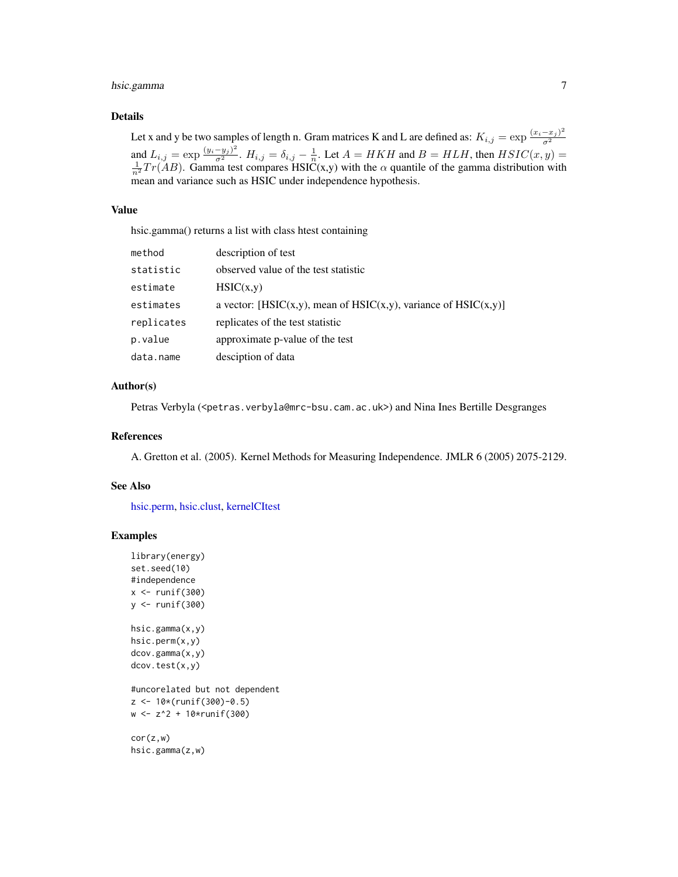# <span id="page-6-0"></span>hsic.gamma 7

#### Details

Let x and y be two samples of length n. Gram matrices K and L are defined as:  $K_{i,j} = \exp \frac{(x_i - x_j)^2}{\sigma^2}$  $\overline{\sigma^2}$ and  $L_{i,j} = \exp\frac{(y_i - y_j)^2}{\sigma^2}$ .  $H_{i,j} = \delta_{i,j} - \frac{1}{n}$ . Let  $A = HKH$  and  $B = HLH$ , then  $HSIC(x, y) = \frac{1}{n^2}Tr(AB)$ . Gamma test compares HSIC(x,y) with the  $\alpha$  quantile of the gamma distribution with mean and variance such as HSIC under independence hypothesis.

#### Value

hsic.gamma() returns a list with class htest containing

| method     | description of test                                             |
|------------|-----------------------------------------------------------------|
| statistic  | observed value of the test statistic                            |
| estimate   | HSIC(x,y)                                                       |
| estimates  | a vector: [HSIC(x,y), mean of HSIC(x,y), variance of HSIC(x,y)] |
| replicates | replicates of the test statistic                                |
| p.value    | approximate p-value of the test                                 |
| data.name  | desciption of data                                              |

## Author(s)

Petras Verbyla (<petras.verbyla@mrc-bsu.cam.ac.uk>) and Nina Ines Bertille Desgranges

#### References

A. Gretton et al. (2005). Kernel Methods for Measuring Independence. JMLR 6 (2005) 2075-2129.

# See Also

[hsic.perm,](#page-7-1) [hsic.clust,](#page-4-1) [kernelCItest](#page-10-1)

# Examples

```
library(energy)
set.seed(10)
#independence
x \leftarrow runif(300)y <- runif(300)
hsic.gamma(x,y)
hsic.perm(x,y)
dcov.gamma(x,y)
dcov.test(x,y)
#uncorelated but not dependent
z <- 10*(runif(300)-0.5)
w <- z^2 + 10*runif(300)
```
cor(z,w) hsic.gamma(z,w)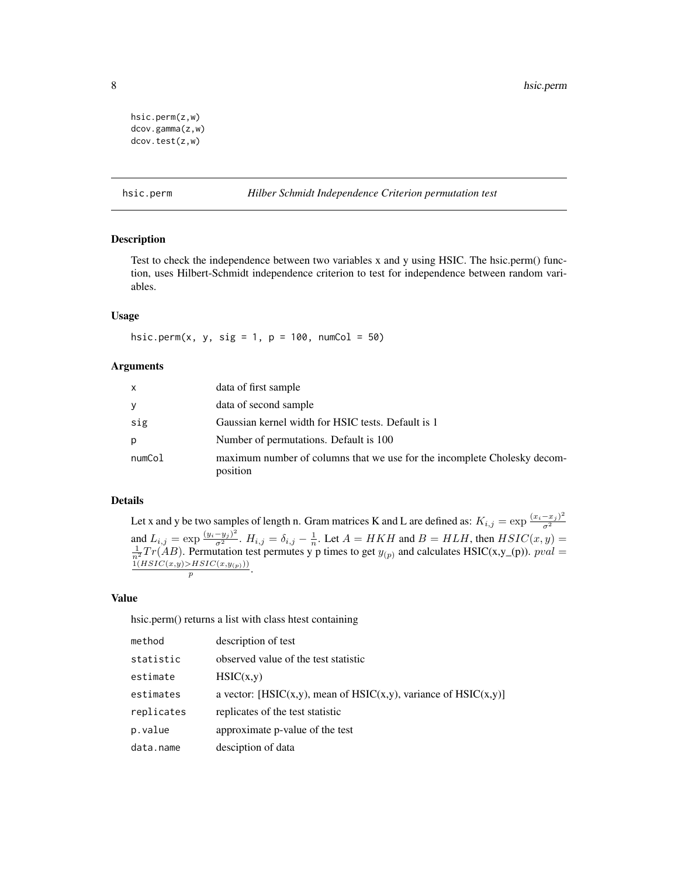```
hsic.perm(z,w)
dcov.gamma(z,w)
dcov.test(z,w)
```
#### <span id="page-7-1"></span>hsic.perm *Hilber Schmidt Independence Criterion permutation test*

#### Description

Test to check the independence between two variables x and y using HSIC. The hsic.perm() function, uses Hilbert-Schmidt independence criterion to test for independence between random variables.

# Usage

hsic.perm(x, y, sig = 1,  $p = 100$ , numCol = 50)

# Arguments

| $\mathsf{x}$ | data of first sample                                                                 |
|--------------|--------------------------------------------------------------------------------------|
| y            | data of second sample                                                                |
| sig          | Gaussian kernel width for HSIC tests. Default is 1                                   |
| p            | Number of permutations. Default is 100                                               |
| numCol       | maximum number of columns that we use for the incomplete Cholesky decom-<br>position |

# Details

Let x and y be two samples of length n. Gram matrices K and L are defined as:  $K_{i,j} = \exp \frac{(x_i - x_j)^2}{\sigma^2}$  $\overline{\sigma^2}$ and  $L_{i,j} = \exp\frac{(y_i - y_j)^2}{\sigma^2}$ .  $H_{i,j} = \delta_{i,j} - \frac{1}{n}$ . Let  $A = HKH$  and  $B = HLH$ , then  $HSIC(x, y) = \frac{1}{n^2}Tr(AB)$ . Permutation test permutes y p times to get  $y_{(p)}$  and calculates HSIC(x,y\_(p)).  $pval =$  $\frac{1(HSIC(x,y) > HSIC(x,y_{(p)}))}{n}$ . p

#### Value

hsic.perm() returns a list with class htest containing

| method     | description of test                                             |
|------------|-----------------------------------------------------------------|
| statistic  | observed value of the test statistic                            |
| estimate   | HSIC(x,y)                                                       |
| estimates  | a vector: [HSIC(x,y), mean of HSIC(x,y), variance of HSIC(x,y)] |
| replicates | replicates of the test statistic                                |
| p.value    | approximate p-value of the test                                 |
| data.name  | desciption of data                                              |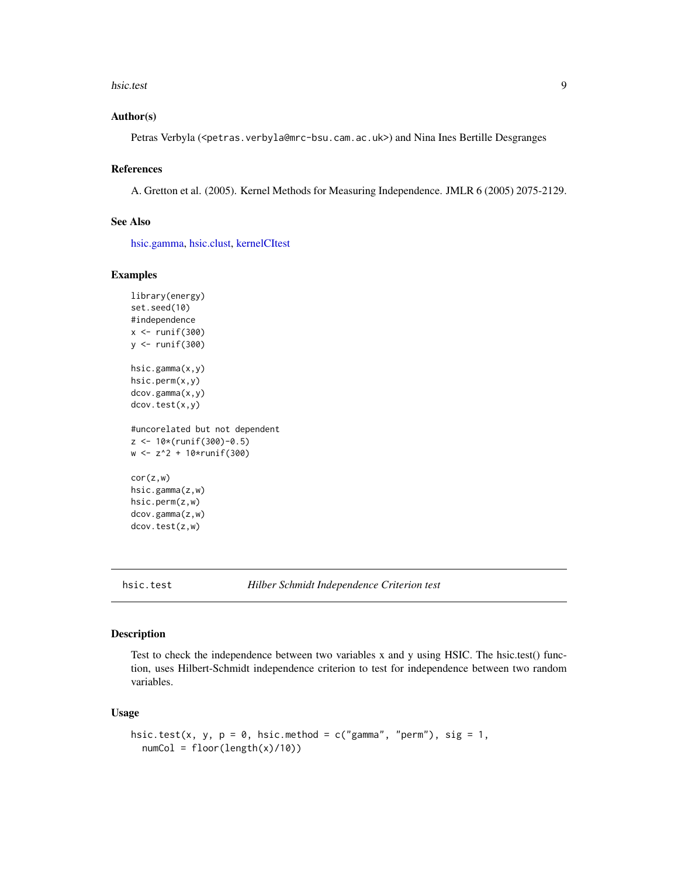#### <span id="page-8-0"></span>hsic.test 9

#### Author(s)

Petras Verbyla (<petras.verbyla@mrc-bsu.cam.ac.uk>) and Nina Ines Bertille Desgranges

#### References

A. Gretton et al. (2005). Kernel Methods for Measuring Independence. JMLR 6 (2005) 2075-2129.

#### See Also

[hsic.gamma,](#page-5-1) [hsic.clust,](#page-4-1) [kernelCItest](#page-10-1)

#### Examples

```
library(energy)
set.seed(10)
#independence
x \leftarrow runif(300)y <- runif(300)
hsic.gamma(x,y)
hsic.perm(x,y)
dcov.gamma(x,y)
dcov.test(x,y)
#uncorelated but not dependent
z <- 10*(runif(300)-0.5)
w <- z^2 + 10*runif(300)
cor(z,w)
hsic.gamma(z,w)
hsic.perm(z,w)
dcov.gamma(z,w)
dcov.test(z,w)
```
hsic.test *Hilber Schmidt Independence Criterion test*

#### Description

Test to check the independence between two variables x and y using HSIC. The hsic.test() function, uses Hilbert-Schmidt independence criterion to test for independence between two random variables.

# Usage

```
hsic.test(x, y, p = 0, hsic.method = c("gamma", "perm"), sig = 1,
  numCol = floor(length(x)/10))
```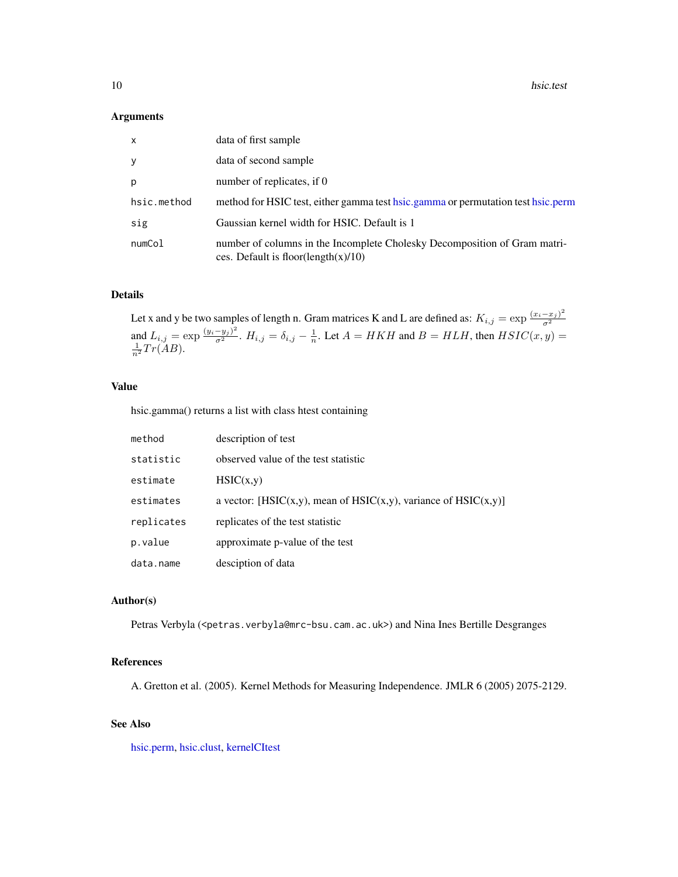#### <span id="page-9-0"></span>Arguments

| x           | data of first sample                                                                                             |
|-------------|------------------------------------------------------------------------------------------------------------------|
| y           | data of second sample                                                                                            |
| D.          | number of replicates, if 0                                                                                       |
| hsic.method | method for HSIC test, either gamma test hsic.gamma or permutation test hsic.perm                                 |
| sig         | Gaussian kernel width for HSIC. Default is 1                                                                     |
| numCol      | number of columns in the Incomplete Cholesky Decomposition of Gram matri-<br>ces. Default is floor(length(x)/10) |

#### Details

Let x and y be two samples of length n. Gram matrices K and L are defined as:  $K_{i,j} = \exp \frac{(x_i - x_j)^2}{\sigma^2}$  $\sigma^2$ and  $L_{i,j} = \exp\frac{(y_i - y_j)^2}{\sigma^2}$ .  $H_{i,j} = \delta_{i,j} - \frac{1}{n}$ . Let  $A = HKH$  and  $B = HLH$ , then  $HSIC(x, y) = \frac{1}{n^2}Tr(AB)$ .

# Value

hsic.gamma() returns a list with class htest containing

| method     | description of test                                             |
|------------|-----------------------------------------------------------------|
| statistic  | observed value of the test statistic                            |
| estimate   | HSIC(x,y)                                                       |
| estimates  | a vector: [HSIC(x,y), mean of HSIC(x,y), variance of HSIC(x,y)] |
| replicates | replicates of the test statistic                                |
| p.value    | approximate p-value of the test                                 |
| data.name  | desciption of data                                              |

#### Author(s)

Petras Verbyla (<petras.verbyla@mrc-bsu.cam.ac.uk>) and Nina Ines Bertille Desgranges

# References

A. Gretton et al. (2005). Kernel Methods for Measuring Independence. JMLR 6 (2005) 2075-2129.

# See Also

[hsic.perm,](#page-7-1) [hsic.clust,](#page-4-1) [kernelCItest](#page-10-1)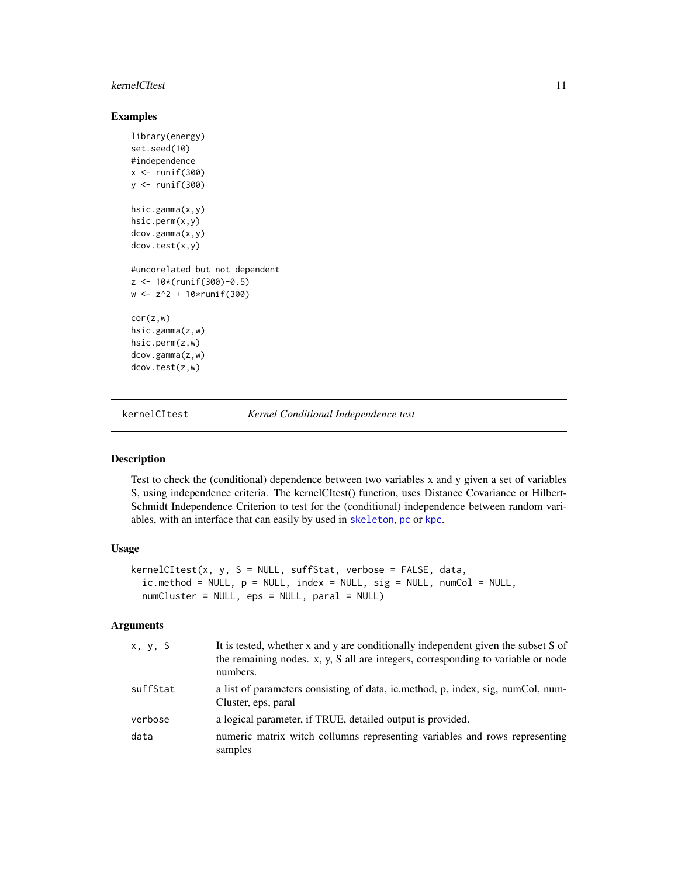#### <span id="page-10-0"></span>kernelCItest 11

# Examples

```
library(energy)
set.seed(10)
#independence
x \le runif(300)
y \leftarrow runif(300)hsic.gamma(x,y)
hsic.perm(x,y)
dcov.gamma(x,y)
dcov.test(x,y)
#uncorelated but not dependent
z <- 10*(runif(300)-0.5)
w <- z^2 + 10*runif(300)
cor(z,w)
hsic.gamma(z,w)
hsic.perm(z,w)
dcov.gamma(z,w)
dcov.test(z,w)
```
<span id="page-10-1"></span>

kernelCItest *Kernel Conditional Independence test*

#### Description

Test to check the (conditional) dependence between two variables x and y given a set of variables S, using independence criteria. The kernelCItest() function, uses Distance Covariance or Hilbert-Schmidt Independence Criterion to test for the (conditional) independence between random variables, with an interface that can easily by used in [skeleton](#page-0-0), [pc](#page-0-0) or [kpc](#page-12-1).

# Usage

```
kernelCItest(x, y, S = NULL, suffix, verbose = FALSE, data,ic.method = NULL, p = NULL, index = NULL, sig = NULL, numCol = NULL,
  numCluster = NULL, eps = NULL, paral = NULL)
```
#### Arguments

| x, y, S  | It is tested, whether x and y are conditionally independent given the subset S of<br>the remaining nodes. x, y, S all are integers, corresponding to variable or node<br>numbers. |
|----------|-----------------------------------------------------------------------------------------------------------------------------------------------------------------------------------|
| suffStat | a list of parameters consisting of data, ic.method, p, index, sig, numCol, num-<br>Cluster, eps, paral                                                                            |
| verbose  | a logical parameter, if TRUE, detailed output is provided.                                                                                                                        |
| data     | numeric matrix witch collumns representing variables and rows representing<br>samples                                                                                             |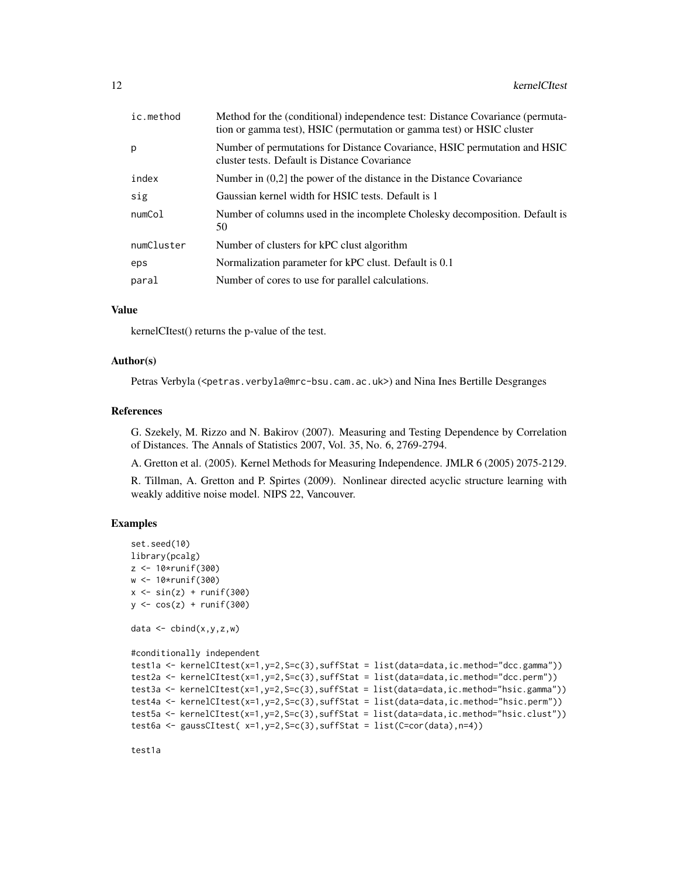| ic.method  | Method for the (conditional) independence test: Distance Covariance (permuta-<br>tion or gamma test), HSIC (permutation or gamma test) or HSIC cluster |
|------------|--------------------------------------------------------------------------------------------------------------------------------------------------------|
| p          | Number of permutations for Distance Covariance, HSIC permutation and HSIC<br>cluster tests. Default is Distance Covariance                             |
| index      | Number in $(0,2]$ the power of the distance in the Distance Covariance                                                                                 |
| sig        | Gaussian kernel width for HSIC tests. Default is 1                                                                                                     |
| numCol     | Number of columns used in the incomplete Cholesky decomposition. Default is<br>50                                                                      |
| numCluster | Number of clusters for kPC clust algorithm                                                                                                             |
| eps        | Normalization parameter for kPC clust. Default is 0.1                                                                                                  |
| paral      | Number of cores to use for parallel calculations.                                                                                                      |

### Value

kernelCItest() returns the p-value of the test.

# Author(s)

Petras Verbyla (<petras.verbyla@mrc-bsu.cam.ac.uk>) and Nina Ines Bertille Desgranges

#### References

G. Szekely, M. Rizzo and N. Bakirov (2007). Measuring and Testing Dependence by Correlation of Distances. The Annals of Statistics 2007, Vol. 35, No. 6, 2769-2794.

A. Gretton et al. (2005). Kernel Methods for Measuring Independence. JMLR 6 (2005) 2075-2129.

R. Tillman, A. Gretton and P. Spirtes (2009). Nonlinear directed acyclic structure learning with weakly additive noise model. NIPS 22, Vancouver.

# Examples

```
set.seed(10)
library(pcalg)
z <- 10*runif(300)
w <- 10*runif(300)
x \leftarrow \sin(z) + \text{runif}(300)y \leftarrow \cos(z) + \text{runif}(300)data \leq cbind(x, y, z, w)#conditionally independent
test1a <- kernelCItest(x=1,y=2,S=c(3),suffStat = list(data=data,ic.method="dcc.gamma"))
test2a <- kernelCItest(x=1,y=2,S=c(3),suffStat = list(data=data,ic.method="dcc.perm"))
test3a <- kernelCItest(x=1,y=2,S=c(3),suffStat = list(data=data,ic.method="hsic.gamma"))
test4a <- kernelCItest(x=1,y=2,S=c(3),suffStat = list(data=data,ic.method="hsic.perm"))
test5a <- kernelCItest(x=1,y=2,S=c(3),suffStat = list(data=data,ic.method="hsic.clust"))
test6a <- gaussCItest( x=1,y=2,S=c(3),suffStat = list(C=cor(data),n=4))
```
test1a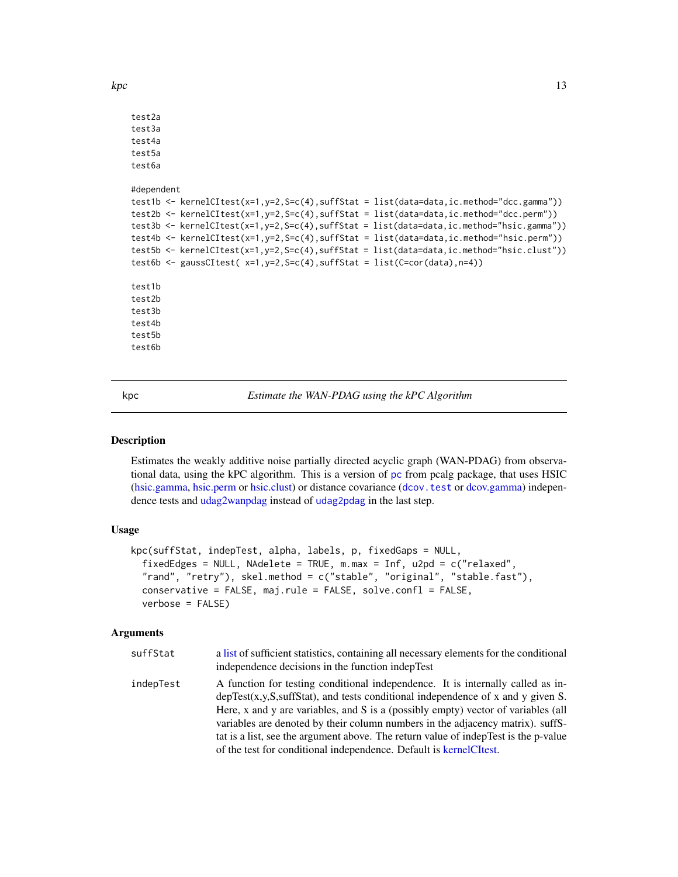<span id="page-12-0"></span> $kpc$  13

```
test2a
test3a
test4a
test5a
test6a
#dependent
test1b <- kernelCItest(x=1,y=2,S=c(4),suffStat = list(data=data,ic.method="dcc.gamma"))
test2b <- kernelCItest(x=1,y=2,S=c(4),suffStat = list(data=data,ic.method="dcc.perm"))
test3b <- kernelCItest(x=1,y=2,S=c(4),suffStat = list(data=data,ic.method="hsic.gamma"))
test4b <- kernelCItest(x=1,y=2,S=c(4),suffStat = list(data=data,ic.method="hsic.perm"))
test5b <- kernelCItest(x=1,y=2,S=c(4),suffStat = list(data=data,ic.method="hsic.clust"))
test6b <- gaussCItest(x=1, y=2, S=c(4), suffStat = list(C=cor(data), n=4))
test1b
test2b
test3b
test4b
test5b
test6b
```
<span id="page-12-1"></span>kpc *Estimate the WAN-PDAG using the kPC Algorithm*

#### Description

Estimates the weakly additive noise partially directed acyclic graph (WAN-PDAG) from observational data, using the kPC algorithm. This is a version of [pc](#page-0-0) from pcalg package, that uses HSIC [\(hsic.gamma,](#page-5-1) [hsic.perm](#page-7-1) or [hsic.clust\)](#page-4-1) or distance covariance ([dcov.test](#page-0-0) or [dcov.gamma\)](#page-1-1) independence tests and [udag2wanpdag](#page-17-1) instead of [udag2pdag](#page-0-0) in the last step.

#### Usage

```
kpc(suffStat, indepTest, alpha, labels, p, fixedGaps = NULL,
  fixedEdges = NULL, NAdelete = TRUE, m.max = Inf, u2pd = c("relaxed","rand", "retry"), skel.method = c("stable", "original", "stable.fast"),
  conservative = FALSE, maj.rule = FALSE, solve.confl = FALSE,
  verbose = FALSE)
```
#### Arguments

| suffStat  | a list of sufficient statistics, containing all necessary elements for the conditional<br>independence decisions in the function indepTest                                                                                                                                                                                                                                                                                                                                                                |
|-----------|-----------------------------------------------------------------------------------------------------------------------------------------------------------------------------------------------------------------------------------------------------------------------------------------------------------------------------------------------------------------------------------------------------------------------------------------------------------------------------------------------------------|
| indepTest | A function for testing conditional independence. It is internally called as in-<br>$depTest(x,y,S,suffStat)$ , and tests conditional independence of x and y given S.<br>Here, x and y are variables, and S is a (possibly empty) vector of variables (all<br>variables are denoted by their column numbers in the adjacency matrix). suffS-<br>tat is a list, see the argument above. The return value of indepTest is the p-value<br>of the test for conditional independence. Default is kernelCItest. |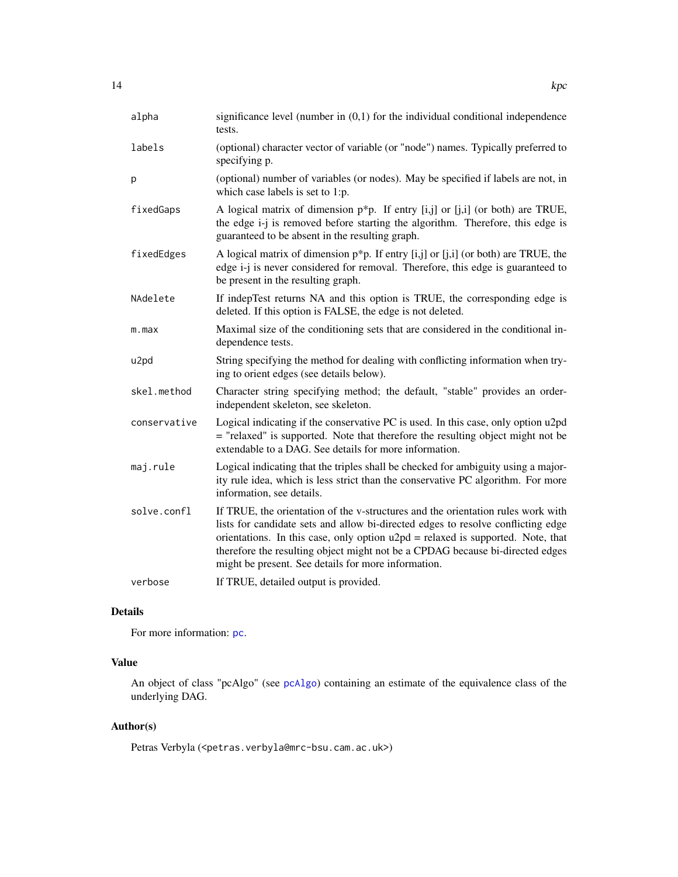<span id="page-13-0"></span>

| alpha            | significance level (number in $(0,1)$ for the individual conditional independence<br>tests.                                                                                                                                                                                                                                                                                                       |
|------------------|---------------------------------------------------------------------------------------------------------------------------------------------------------------------------------------------------------------------------------------------------------------------------------------------------------------------------------------------------------------------------------------------------|
| labels           | (optional) character vector of variable (or "node") names. Typically preferred to<br>specifying p.                                                                                                                                                                                                                                                                                                |
| p                | (optional) number of variables (or nodes). May be specified if labels are not, in<br>which case labels is set to 1:p.                                                                                                                                                                                                                                                                             |
| fixedGaps        | A logical matrix of dimension $p^*p$ . If entry [i,j] or [j,i] (or both) are TRUE,<br>the edge i-j is removed before starting the algorithm. Therefore, this edge is<br>guaranteed to be absent in the resulting graph.                                                                                                                                                                           |
| fixedEdges       | A logical matrix of dimension $p*p$ . If entry [i,j] or [j,i] (or both) are TRUE, the<br>edge i-j is never considered for removal. Therefore, this edge is guaranteed to<br>be present in the resulting graph.                                                                                                                                                                                    |
| NAdelete         | If indepTest returns NA and this option is TRUE, the corresponding edge is<br>deleted. If this option is FALSE, the edge is not deleted.                                                                                                                                                                                                                                                          |
| m.max            | Maximal size of the conditioning sets that are considered in the conditional in-<br>dependence tests.                                                                                                                                                                                                                                                                                             |
| u <sub>2pd</sub> | String specifying the method for dealing with conflicting information when try-<br>ing to orient edges (see details below).                                                                                                                                                                                                                                                                       |
| skel.method      | Character string specifying method; the default, "stable" provides an order-<br>independent skeleton, see skeleton.                                                                                                                                                                                                                                                                               |
| conservative     | Logical indicating if the conservative PC is used. In this case, only option u2pd<br>= "relaxed" is supported. Note that therefore the resulting object might not be<br>extendable to a DAG. See details for more information.                                                                                                                                                                    |
| maj.rule         | Logical indicating that the triples shall be checked for ambiguity using a major-<br>ity rule idea, which is less strict than the conservative PC algorithm. For more<br>information, see details.                                                                                                                                                                                                |
| solve.confl      | If TRUE, the orientation of the v-structures and the orientation rules work with<br>lists for candidate sets and allow bi-directed edges to resolve conflicting edge<br>orientations. In this case, only option $u2pd =$ relaxed is supported. Note, that<br>therefore the resulting object might not be a CPDAG because bi-directed edges<br>might be present. See details for more information. |
| verbose          | If TRUE, detailed output is provided.                                                                                                                                                                                                                                                                                                                                                             |

# Details

For more information: [pc](#page-0-0).

# Value

An object of class "pcAlgo" (see [pcAlgo](#page-0-0)) containing an estimate of the equivalence class of the underlying DAG.

# Author(s)

Petras Verbyla (<petras.verbyla@mrc-bsu.cam.ac.uk>)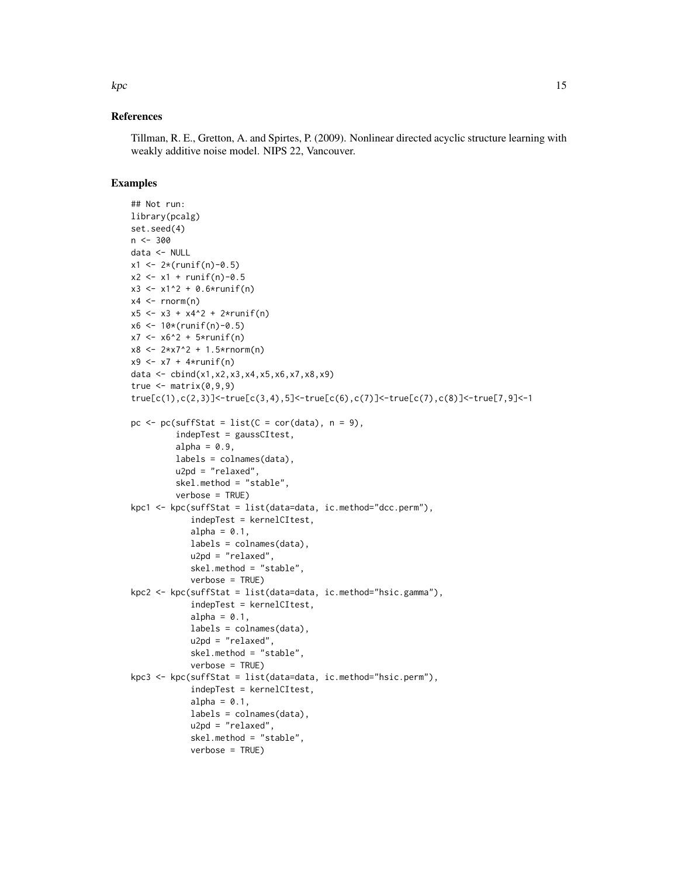#### References

Tillman, R. E., Gretton, A. and Spirtes, P. (2009). Nonlinear directed acyclic structure learning with weakly additive noise model. NIPS 22, Vancouver.

#### Examples

```
## Not run:
library(pcalg)
set.seed(4)
n < -300data <- NULL
x1 \leq 2*(runif(n)-0.5)x2 \le -x1 + runif(n)-0.5x3 \leq x1^2 + 0.6*runif(n)x4 \le- rnorm(n)x5 \leq x3 + x4^2 + 2*runif(n)x6 <- 10*(runif(n)-0.5)
x7 < -x6^2 + 5*runif(n)x8 \leq 2*x7^2 + 1.5*rnorm(n)x9 \le x7 + 4*runif(n)data <- cbind(x1,x2,x3,x4,x5,x6,x7,x8,x9)
true \leq matrix(0,9,9)
true[c(1),c(2,3)]<-true[c(3,4),5]<-true[c(6),c(7)]<-true[c(7),c(8)]<-true[7,9]<-1
pc \leq pc(suffStat = list(C = cor(data), n = 9),
         indepTest = gaussCItest,
         alpha = 0.9,
         labels = colnames(data),
         u2pd = "relaxed",
         skel.method = "stable",
         verbose = TRUE)
kpc1 <- kpc(suffStat = list(data=data, ic.method="dcc.perm"),
            indepTest = kernelCItest,
            alpha = 0.1,
            labels = colnames(data),
            u2pd = "relaxed",
            skel.method = "stable",
            verbose = TRUE)
kpc2 <- kpc(suffStat = list(data=data, ic.method="hsic.gamma"),
            indepTest = kernelCItest,
            alpha = 0.1,
            labels = colnames(data),
            u2pd = "relaxed",
            skel.method = "stable",
            verbose = TRUE)
kpc3 <- kpc(suffStat = list(data=data, ic.method="hsic.perm"),
            indepTest = kernelCItest,
            alpha = 0.1,
            labels = colnames(data),
            u2pd = "relaxed",
            skel.method = "stable",
            verbose = TRUE)
```
 $kpc$  15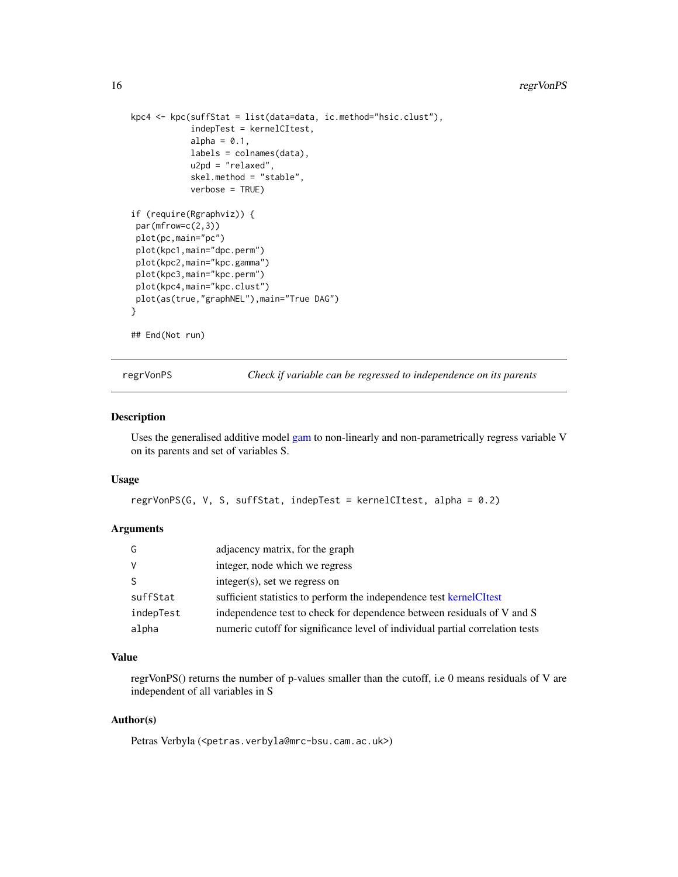```
kpc4 <- kpc(suffStat = list(data=data, ic.method="hsic.clust"),
            indepTest = kernelCItest,
            alpha = 0.1,
            labels = colnames(data),
            u2pd = "relaxed",
            skel.method = "stable",
            verbose = TRUE)
if (require(Rgraphviz)) {
par(mfrow=c(2,3))
plot(pc,main="pc")
plot(kpc1,main="dpc.perm")
plot(kpc2,main="kpc.gamma")
plot(kpc3,main="kpc.perm")
plot(kpc4,main="kpc.clust")
plot(as(true,"graphNEL"),main="True DAG")
}
## End(Not run)
```
regrVonPS *Check if variable can be regressed to independence on its parents*

#### Description

Uses the generalised additive model [gam](#page-0-0) to non-linearly and non-parametrically regress variable V on its parents and set of variables S.

#### Usage

```
regrVonPS(G, V, S, suffStat, indepTest = kernelCItest, alpha = 0.2)
```
# Arguments

| G         | adjacency matrix, for the graph                                               |
|-----------|-------------------------------------------------------------------------------|
| <b>V</b>  | integer, node which we regress                                                |
| -S        | $integer(s)$ , set we regress on                                              |
| suffStat  | sufficient statistics to perform the independence test kernel CI test         |
| indepTest | independence test to check for dependence between residuals of V and S        |
| alpha     | numeric cutoff for significance level of individual partial correlation tests |

#### Value

regrVonPS() returns the number of p-values smaller than the cutoff, i.e 0 means residuals of V are independent of all variables in S

# Author(s)

Petras Verbyla (<petras.verbyla@mrc-bsu.cam.ac.uk>)

<span id="page-15-0"></span>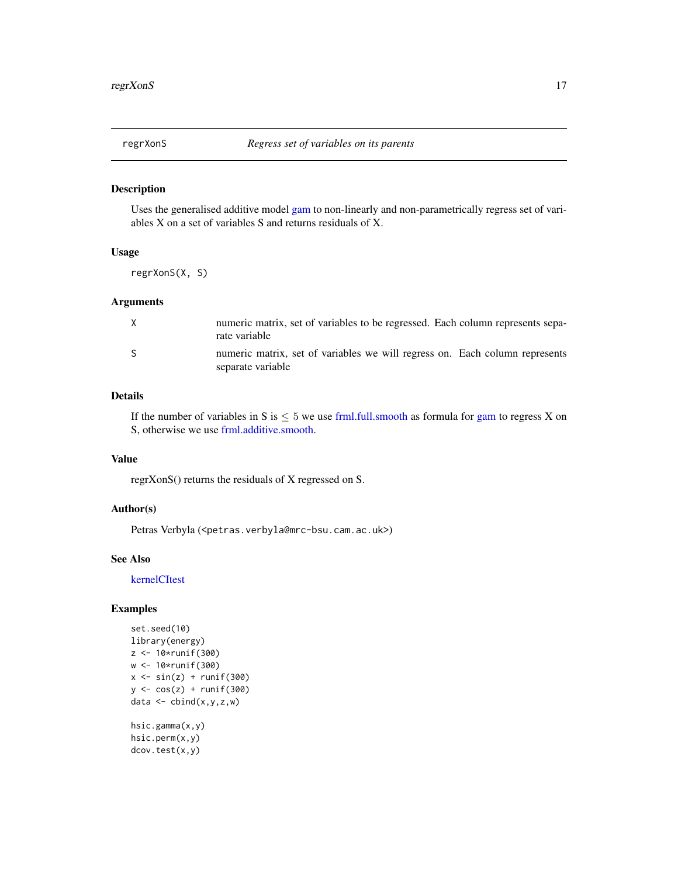# <span id="page-16-1"></span><span id="page-16-0"></span>Description

Uses the generalised additive model [gam](#page-0-0) to non-linearly and non-parametrically regress set of variables X on a set of variables S and returns residuals of X.

# Usage

regrXonS(X, S)

# Arguments

| X  | numeric matrix, set of variables to be regressed. Each column represents sepa-<br>rate variable  |
|----|--------------------------------------------------------------------------------------------------|
| -S | numeric matrix, set of variables we will regress on. Each column represents<br>separate variable |

# Details

If the number of variables in S is  $\leq 5$  we use [frml.full.smooth](#page-3-1) as formula for [gam](#page-0-0) to regress X on S, otherwise we use [frml.additive.smooth.](#page-2-1)

#### Value

regrXonS() returns the residuals of X regressed on S.

## Author(s)

Petras Verbyla (<petras.verbyla@mrc-bsu.cam.ac.uk>)

# See Also

[kernelCItest](#page-10-1)

# Examples

```
set.seed(10)
library(energy)
z <- 10*runif(300)
w <- 10*runif(300)
x \le -\sin(z) + \text{runif}(300)y \leftarrow \cos(z) + \text{runif}(300)data \leq cbind(x,y,z,w)hsic.gamma(x,y)
```

```
hsic.perm(x,y)
dcov.test(x,y)
```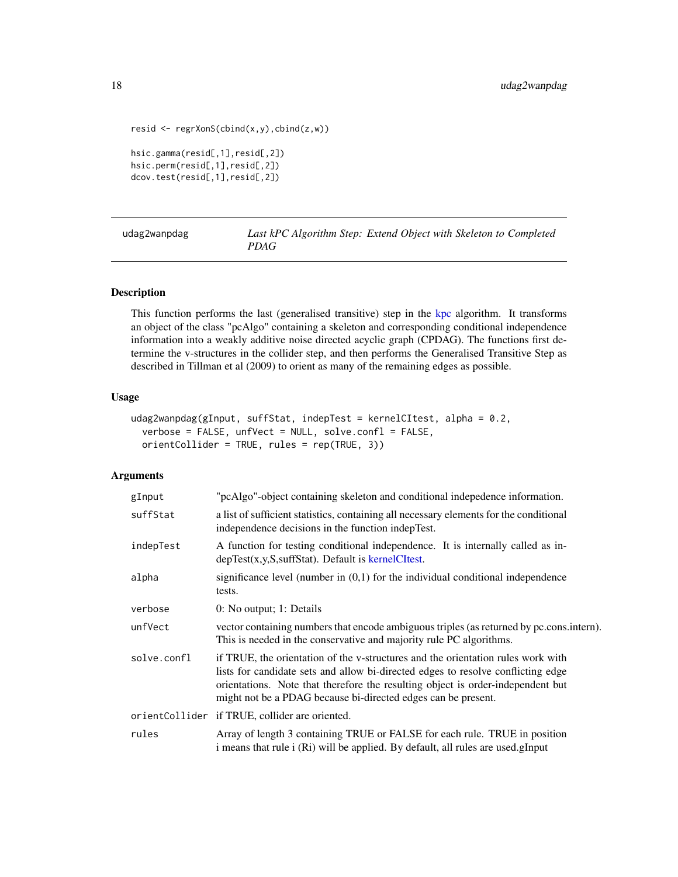```
resid <- regrXonS(cbind(x,y),cbind(z,w))
hsic.gamma(resid[,1],resid[,2])
hsic.perm(resid[,1],resid[,2])
dcov.test(resid[,1],resid[,2])
```
<span id="page-17-1"></span>

| udag2wanpdag | Last kPC Algorithm Step: Extend Object with Skeleton to Completed |  |
|--------------|-------------------------------------------------------------------|--|
|              | <i>PDAG</i>                                                       |  |

# Description

This function performs the last (generalised transitive) step in the [kpc](#page-12-1) algorithm. It transforms an object of the class "pcAlgo" containing a skeleton and corresponding conditional independence information into a weakly additive noise directed acyclic graph (CPDAG). The functions first determine the v-structures in the collider step, and then performs the Generalised Transitive Step as described in Tillman et al (2009) to orient as many of the remaining edges as possible.

#### Usage

```
udag2wanpdag(gInput, suffStat, indepTest = kernelCItest, alpha = 0.2,
  verbose = FALSE, unfVect = NULL, solve.confl = FALSE,
  orientCollider = TRUE, rules = rep(TRUE, 3))
```
# Arguments

| gInput      | "pcAlgo"-object containing skeleton and conditional indepedence information.                                                                                                                                                                                                                                             |
|-------------|--------------------------------------------------------------------------------------------------------------------------------------------------------------------------------------------------------------------------------------------------------------------------------------------------------------------------|
| suffStat    | a list of sufficient statistics, containing all necessary elements for the conditional<br>independence decisions in the function indepTest.                                                                                                                                                                              |
| indepTest   | A function for testing conditional independence. It is internally called as in-<br>$depTest(x,y,S,suffStat)$ . Default is kernelCItest.                                                                                                                                                                                  |
| alpha       | significance level (number in $(0,1)$ ) for the individual conditional independence<br>tests.                                                                                                                                                                                                                            |
| verbose     | 0: No output; 1: Details                                                                                                                                                                                                                                                                                                 |
| unfVect     | vector containing numbers that encode ambiguous triples (as returned by pc.cons.intern).<br>This is needed in the conservative and majority rule PC algorithms.                                                                                                                                                          |
| solve.confl | if TRUE, the orientation of the v-structures and the orientation rules work with<br>lists for candidate sets and allow bi-directed edges to resolve conflicting edge<br>orientations. Note that therefore the resulting object is order-independent but<br>might not be a PDAG because bi-directed edges can be present. |
|             | orientCollider if TRUE, collider are oriented.                                                                                                                                                                                                                                                                           |
| rules       | Array of length 3 containing TRUE or FALSE for each rule. TRUE in position<br>i means that rule i (Ri) will be applied. By default, all rules are used.gInput                                                                                                                                                            |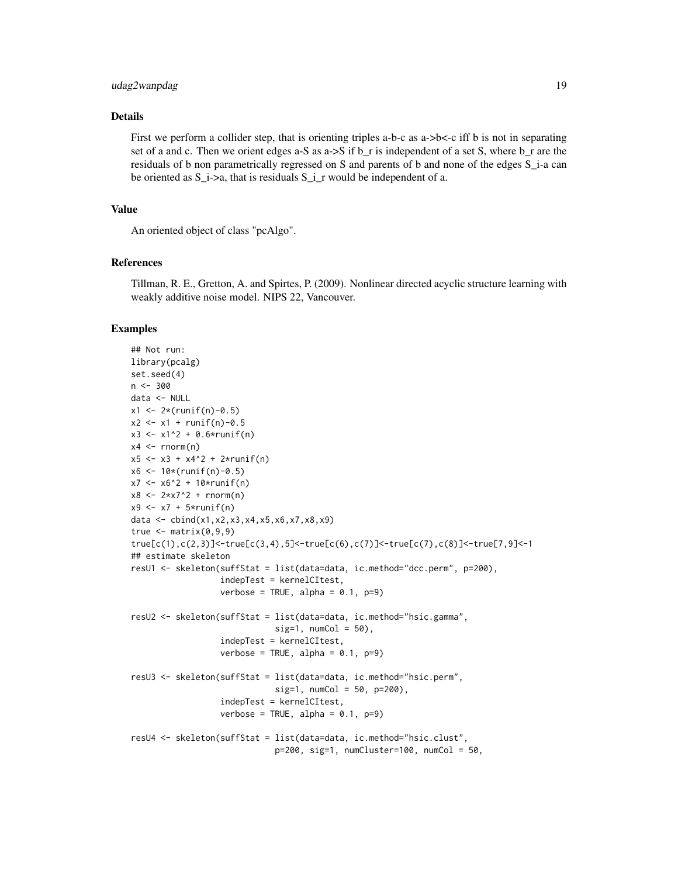# udag2wanpdag 19

# Details

First we perform a collider step, that is orienting triples a-b-c as  $a-b < c$  iff b is not in separating set of a and c. Then we orient edges a-S as a- $>$ S if b\_r is independent of a set S, where b\_r are the residuals of b non parametrically regressed on S and parents of b and none of the edges S\_i-a can be oriented as  $S_i$ ->a, that is residuals  $S_i$ -x would be independent of a.

#### Value

An oriented object of class "pcAlgo".

#### References

Tillman, R. E., Gretton, A. and Spirtes, P. (2009). Nonlinear directed acyclic structure learning with weakly additive noise model. NIPS 22, Vancouver.

#### Examples

```
## Not run:
library(pcalg)
set.seed(4)
n < -300data <- NULL
x1 \leq 2*(runif(n)-0.5)x2 \le -x1 + \text{runif(n)}-0.5x3 \le -x1^2 + 0.6 \times \text{runif(n)}x4 \le- rnorm(n)x5 \le -x3 + x4^2 + 2*runif(n)x6 \le -10*(runif(n)-0.5)x7 < -x6^2 + 10*runif(n)x8 < -2*x7^2 + rnorm(n)x9 \le x7 + 5*runif(n)data <- cbind(x1,x2,x3,x4,x5,x6,x7,x8,x9)
true \leq matrix(0,9,9)
true[c(1),c(2,3)]<-true[c(3,4),5]<-true[c(6),c(7)]<-true[c(7),c(8)]<-true[7,9]<-1
## estimate skeleton
resU1 <- skeleton(suffStat = list(data=data, ic.method="dcc.perm", p=200),
                   indepTest = kernelCItest,
                   verbose = TRUE, alpha = 0.1, p=9)
resU2 <- skeleton(suffStat = list(data=data, ic.method="hsic.gamma",
                              sig=1, numCol = 50),
                   indepTest = kernelCItest,
                   verbose = TRUE, alpha = 0.1, p=9)
resU3 <- skeleton(suffStat = list(data=data, ic.method="hsic.perm",
                              sig=1, numCol = 50, p=200),
                   indepTest = kernelCItest,
                   verbose = TRUE, alpha = 0.1, p=9)
resU4 <- skeleton(suffStat = list(data=data, ic.method="hsic.clust",
                              p=200, sig=1, numCluster=100, numCol = 50,
```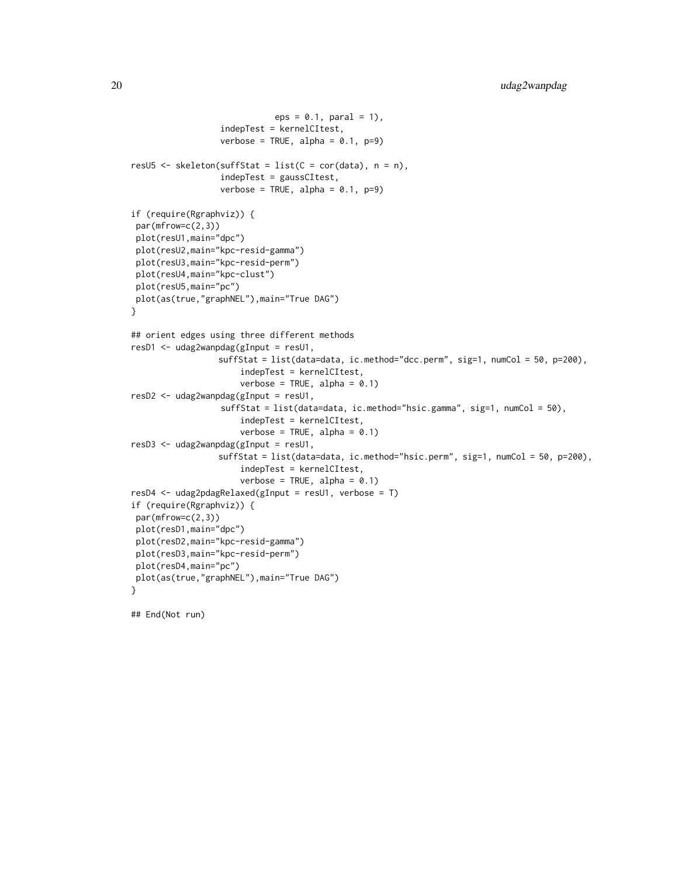```
eps = 0.1, paral = 1),
                  indepTest = kernelCItest,
                  verbose = TRUE, alpha = 0.1, p=9)
resU5 <- skeleton(suffStat = list(C = cor(data), n = n),
                  indepTest = gaussCItest,
                  verbose = TRUE, alpha = 0.1, p=9)
if (require(Rgraphviz)) {
par(mfrow=c(2,3))
plot(resU1,main="dpc")
plot(resU2,main="kpc-resid-gamma")
plot(resU3,main="kpc-resid-perm")
plot(resU4,main="kpc-clust")
plot(resU5,main="pc")
plot(as(true,"graphNEL"),main="True DAG")
}
## orient edges using three different methods
resD1 <- udag2wanpdag(gInput = resU1,
                 suffStat = list(data=data, ic.method="dcc.perm", sig=1, numCol = 50, p=200),
                      indepTest = kernelCItest,
                      verbose = TRUE, alpha = 0.1)
resD2 <- udag2wanpdag(gInput = resU1,
                  suffStat = list(data=data, ic.method="hsic.gamma", sig=1, numCol = 50),
                      indepTest = kernelCItest,
                      verbose = TRUE, alpha = 0.1)
resD3 <- udag2wanpdag(gInput = resU1,
                 suffStat = list(data=data, ic.method="hsic.perm", sig=1, numCol = 50, p=200),
                      indepTest = kernelCItest,
                      verbose = TRUE, alpha = 0.1)
resD4 <- udag2pdagRelaxed(gInput = resU1, verbose = T)
if (require(Rgraphviz)) {
par(mfrow=c(2,3))
plot(resD1,main="dpc")
plot(resD2,main="kpc-resid-gamma")
plot(resD3,main="kpc-resid-perm")
plot(resD4,main="pc")
plot(as(true,"graphNEL"),main="True DAG")
}
```
## End(Not run)